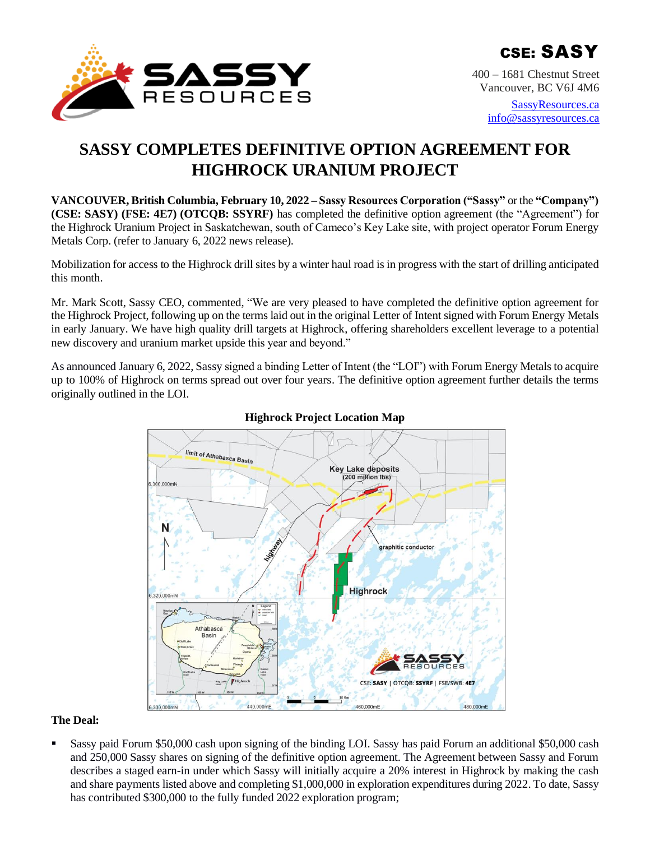

400 – 1681 Chestnut Street Vancouver, BC V6J 4M6

> [SassyResources.ca](http://www.sassyresources.ca/) [info@sassyresources.ca](mailto:info@sassyresources.ca)

# **SASSY COMPLETES DEFINITIVE OPTION AGREEMENT FOR HIGHROCK URANIUM PROJECT**

**VANCOUVER, British Columbia, February 10, 2022 – Sassy Resources Corporation ("Sassy"** or the **"Company") (CSE: SASY) (FSE: 4E7) (OTCQB: SSYRF)** has completed the definitive option agreement (the "Agreement") for the Highrock Uranium Project in Saskatchewan, south of Cameco's Key Lake site, with project operator Forum Energy Metals Corp. (refer to January 6, 2022 news release).

Mobilization for access to the Highrock drill sites by a winter haul road is in progress with the start of drilling anticipated this month.

Mr. Mark Scott, Sassy CEO, commented, "We are very pleased to have completed the definitive option agreement for the Highrock Project, following up on the terms laid out in the original Letter of Intent signed with Forum Energy Metals in early January. We have high quality drill targets at Highrock, offering shareholders excellent leverage to a potential new discovery and uranium market upside this year and beyond."

As announced January 6, 2022, Sassy signed a binding Letter of Intent (the "LOI") with Forum Energy Metals to acquire up to 100% of Highrock on terms spread out over four years. The definitive option agreement further details the terms originally outlined in the LOI.



# **Highrock Project Location Map**

## **The Deal:**

Sassy paid Forum \$50,000 cash upon signing of the binding LOI. Sassy has paid Forum an additional \$50,000 cash and 250,000 Sassy shares on signing of the definitive option agreement. The Agreement between Sassy and Forum describes a staged earn-in under which Sassy will initially acquire a 20% interest in Highrock by making the cash and share payments listed above and completing \$1,000,000 in exploration expenditures during 2022. To date, Sassy has contributed \$300,000 to the fully funded 2022 exploration program;